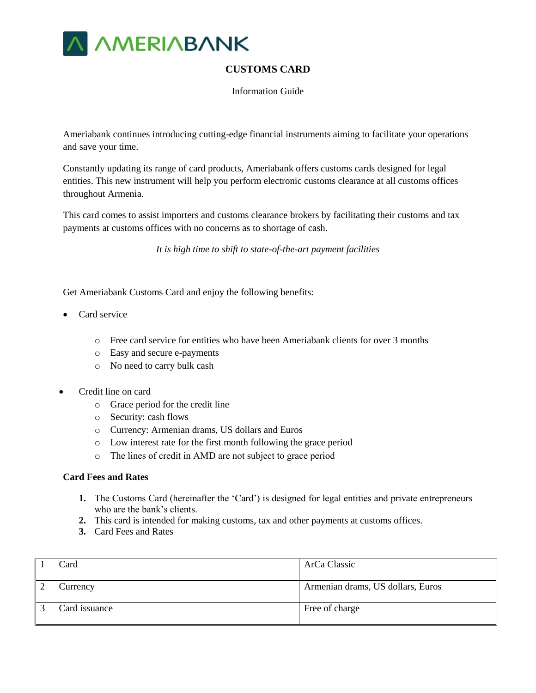

# **CUSTOMS CARD**

Information Guide

Ameriabank continues introducing cutting-edge financial instruments aiming to facilitate your operations and save your time.

Constantly updating its range of card products, Ameriabank offers customs cards designed for legal entities. This new instrument will help you perform electronic customs clearance at all customs offices throughout Armenia.

This card comes to assist importers and customs clearance brokers by facilitating their customs and tax payments at customs offices with no concerns as to shortage of cash.

*It is high time to shift to state-of-the-art payment facilities* 

Get Ameriabank Customs Card and enjoy the following benefits:

- Card service
	- o Free card service for entities who have been Ameriabank clients for over 3 months
	- o Easy and secure e-payments
	- o No need to carry bulk cash
- Credit line on card
	- o Grace period for the credit line
	- o Security: cash flows
	- o Currency: Armenian drams, US dollars and Euros
	- o Low interest rate for the first month following the grace period
	- o The lines of credit in AMD are not subject to grace period

#### **Card Fees and Rates**

- **1.** The Customs Card (hereinafter the 'Card') is designed for legal entities and private entrepreneurs who are the bank's clients.
- **2.** This card is intended for making customs, tax and other payments at customs offices.
- **3.** Card Fees and Rates

| Card          | ArCa Classic                      |
|---------------|-----------------------------------|
| Currency      | Armenian drams, US dollars, Euros |
| Card issuance | Free of charge                    |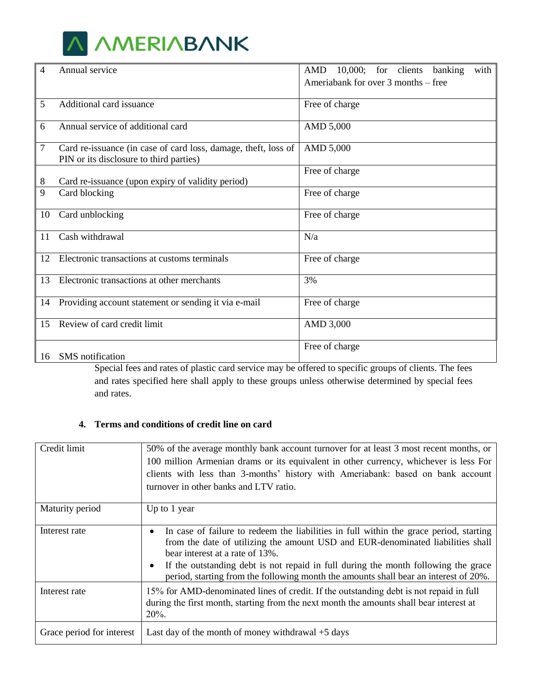

| 4  | Annual service                                                                                            | AMD<br>$10,000$ ; for clients<br>with<br>banking |
|----|-----------------------------------------------------------------------------------------------------------|--------------------------------------------------|
|    |                                                                                                           | Ameriabank for over 3 months – free              |
| 5  | Additional card issuance                                                                                  | Free of charge                                   |
| 6  | Annual service of additional card                                                                         | AMD 5,000                                        |
| 7  | Card re-issuance (in case of card loss, damage, theft, loss of<br>PIN or its disclosure to third parties) | AMD 5,000                                        |
|    |                                                                                                           | Free of charge                                   |
| 8  | Card re-issuance (upon expiry of validity period)                                                         |                                                  |
| 9  | Card blocking                                                                                             | Free of charge                                   |
| 10 | Card unblocking                                                                                           | Free of charge                                   |
| 11 | Cash withdrawal                                                                                           | N/a                                              |
| 12 | Electronic transactions at customs terminals                                                              | Free of charge                                   |
| 13 | Electronic transactions at other merchants                                                                | 3%                                               |
| 14 | Providing account statement or sending it via e-mail                                                      | Free of charge                                   |
| 15 | Review of card credit limit                                                                               | AMD 3,000                                        |
|    | 16 SMS notification                                                                                       | Free of charge                                   |

Special fees and rates of plastic card service may be offered to specific groups of clients. The fees and rates specified here shall apply to these groups unless otherwise determined by special fees and rates.

## **4. Terms and conditions of credit line on card**

| Credit limit              | 50% of the average monthly bank account turnover for at least 3 most recent months, or<br>100 million Armenian drams or its equivalent in other currency, whichever is less For<br>clients with less than 3-months' history with Ameriabank: based on bank account<br>turnover in other banks and LTV ratio.                                                                               |  |
|---------------------------|--------------------------------------------------------------------------------------------------------------------------------------------------------------------------------------------------------------------------------------------------------------------------------------------------------------------------------------------------------------------------------------------|--|
| Maturity period           | Up to 1 year                                                                                                                                                                                                                                                                                                                                                                               |  |
| Interest rate             | In case of failure to redeem the liabilities in full within the grace period, starting<br>from the date of utilizing the amount USD and EUR-denominated liabilities shall<br>bear interest at a rate of 13%.<br>If the outstanding debt is not repaid in full during the month following the grace<br>period, starting from the following month the amounts shall bear an interest of 20%. |  |
| Interest rate             | 15% for AMD-denominated lines of credit. If the outstanding debt is not repaid in full<br>during the first month, starting from the next month the amounts shall bear interest at<br>$20%$ .                                                                                                                                                                                               |  |
| Grace period for interest | Last day of the month of money withdrawal $+5$ days                                                                                                                                                                                                                                                                                                                                        |  |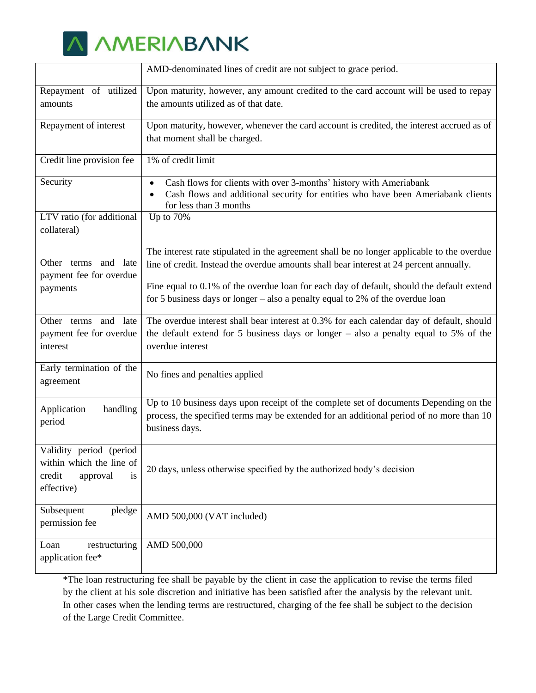

|                                                                                               | AMD-denominated lines of credit are not subject to grace period.                                                                                                                                        |
|-----------------------------------------------------------------------------------------------|---------------------------------------------------------------------------------------------------------------------------------------------------------------------------------------------------------|
| Repayment of utilized<br>amounts                                                              | Upon maturity, however, any amount credited to the card account will be used to repay<br>the amounts utilized as of that date.                                                                          |
| Repayment of interest                                                                         | Upon maturity, however, whenever the card account is credited, the interest accrued as of<br>that moment shall be charged.                                                                              |
| Credit line provision fee                                                                     | 1% of credit limit                                                                                                                                                                                      |
| Security                                                                                      | Cash flows for clients with over 3-months' history with Ameriabank<br>$\bullet$<br>Cash flows and additional security for entities who have been Ameriabank clients<br>for less than 3 months           |
| LTV ratio (for additional<br>collateral)                                                      | Up to 70%                                                                                                                                                                                               |
| Other terms and late<br>payment fee for overdue                                               | The interest rate stipulated in the agreement shall be no longer applicable to the overdue<br>line of credit. Instead the overdue amounts shall bear interest at 24 percent annually.                   |
| payments                                                                                      | Fine equal to 0.1% of the overdue loan for each day of default, should the default extend<br>for 5 business days or longer $-$ also a penalty equal to 2% of the overdue loan                           |
| and late<br>Other terms<br>payment fee for overdue<br>interest                                | The overdue interest shall bear interest at 0.3% for each calendar day of default, should<br>the default extend for 5 business days or longer $-$ also a penalty equal to 5% of the<br>overdue interest |
| Early termination of the<br>agreement                                                         | No fines and penalties applied                                                                                                                                                                          |
| Application<br>handling<br>period                                                             | Up to 10 business days upon receipt of the complete set of documents Depending on the<br>process, the specified terms may be extended for an additional period of no more than 10<br>business days.     |
| Validity period (period<br>within which the line of<br>credit<br>approval<br>is<br>effective) | 20 days, unless otherwise specified by the authorized body's decision                                                                                                                                   |
| Subsequent<br>pledge<br>permission fee                                                        | AMD 500,000 (VAT included)                                                                                                                                                                              |
| Loan<br>restructuring<br>application fee*                                                     | AMD 500,000                                                                                                                                                                                             |

\*The loan restructuring fee shall be payable by the client in case the application to revise the terms filed by the client at his sole discretion and initiative has been satisfied after the analysis by the relevant unit. In other cases when the lending terms are restructured, charging of the fee shall be subject to the decision of the Large Credit Committee.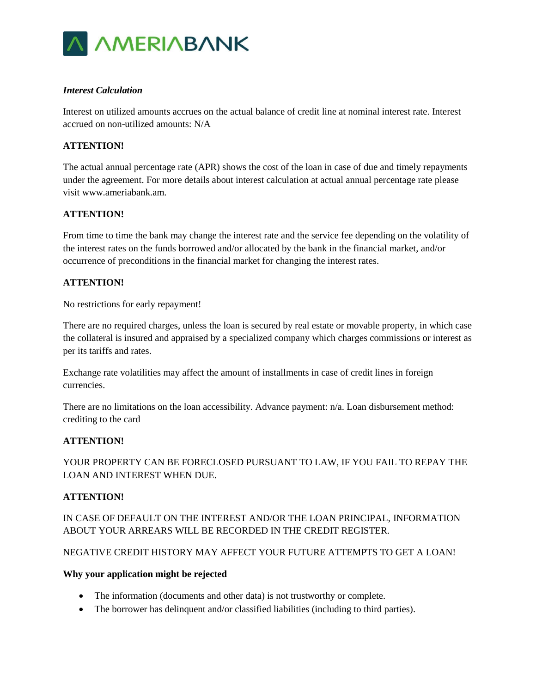

## *Interest Calculation*

Interest on utilized amounts accrues on the actual balance of credit line at nominal interest rate. Interest accrued on non-utilized amounts: N/A

### **ATTENTION!**

The actual annual percentage rate (APR) shows the cost of the loan in case of due and timely repayments under the agreement. For more details about interest calculation at actual annual percentage rate please visit www.ameriabank.am.

## **ATTENTION!**

From time to time the bank may change the interest rate and the service fee depending on the volatility of the interest rates on the funds borrowed and/or allocated by the bank in the financial market, and/or occurrence of preconditions in the financial market for changing the interest rates.

## **ATTENTION!**

No restrictions for early repayment!

There are no required charges, unless the loan is secured by real estate or movable property, in which case the collateral is insured and appraised by a specialized company which charges commissions or interest as per its tariffs and rates.

Exchange rate volatilities may affect the amount of installments in case of credit lines in foreign currencies.

There are no limitations on the loan accessibility. Advance payment:  $n/a$ . Loan disbursement method: crediting to the card

#### **ATTENTION!**

YOUR PROPERTY CAN BE FORECLOSED PURSUANT TO LAW, IF YOU FAIL TO REPAY THE LOAN AND INTEREST WHEN DUE.

#### **ATTENTION!**

IN CASE OF DEFAULT ON THE INTEREST AND/OR THE LOAN PRINCIPAL, INFORMATION ABOUT YOUR ARREARS WILL BE RECORDED IN THE CREDIT REGISTER.

#### NEGATIVE CREDIT HISTORY MAY AFFECT YOUR FUTURE ATTEMPTS TO GET A LOAN!

#### **Why your application might be rejected**

- The information (documents and other data) is not trustworthy or complete.
- The borrower has delinquent and/or classified liabilities (including to third parties).